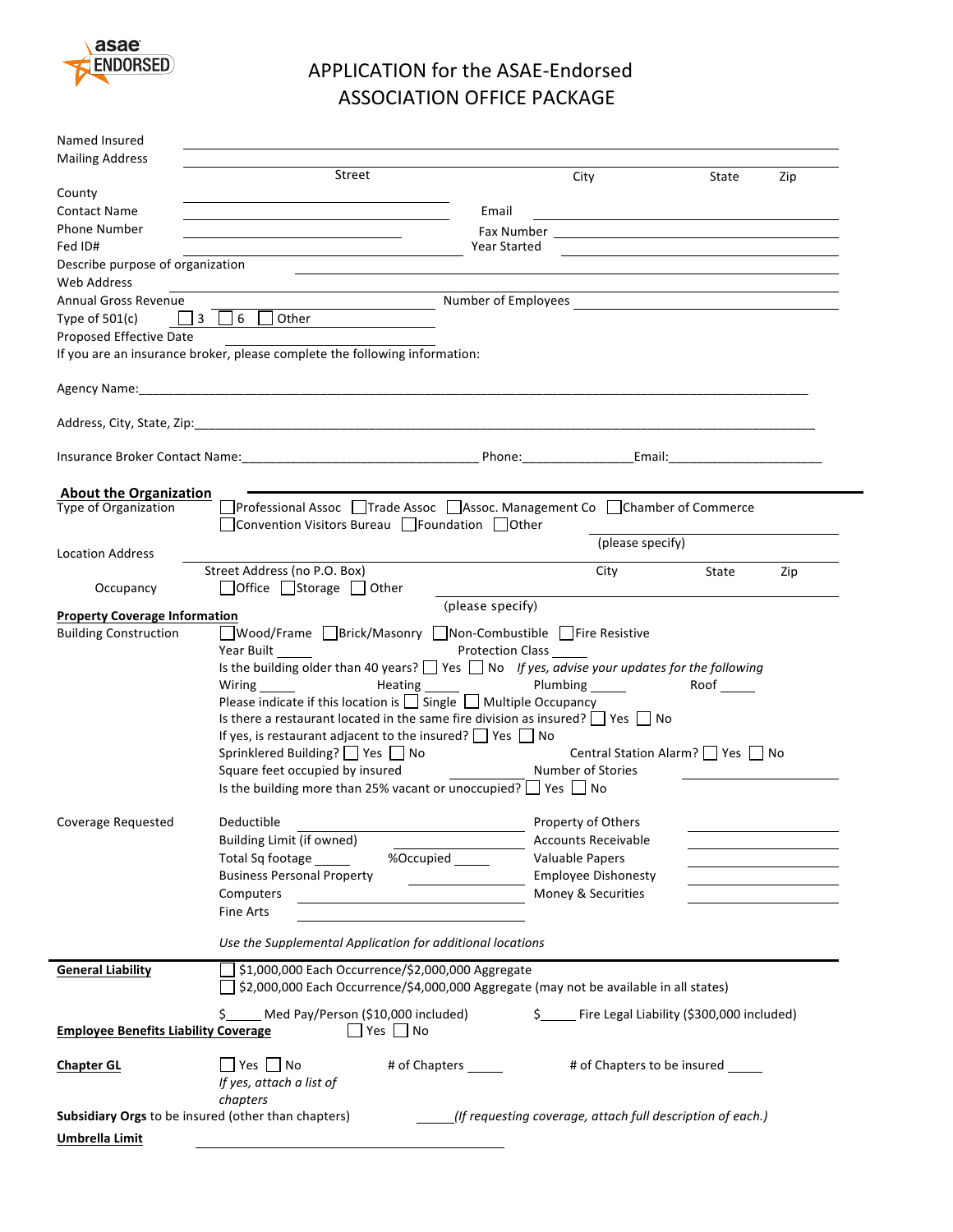

## APPLICATION for the ASAE-Endorsed **ASSOCIATION OFFICE PACKAGE**

| Named Insured<br><b>Mailing Address</b>               |                                                                                                                                        |                         |                                                             |       |                                                                                           |
|-------------------------------------------------------|----------------------------------------------------------------------------------------------------------------------------------------|-------------------------|-------------------------------------------------------------|-------|-------------------------------------------------------------------------------------------|
|                                                       | Street                                                                                                                                 |                         | City                                                        | State | Zip                                                                                       |
| County                                                |                                                                                                                                        |                         |                                                             |       |                                                                                           |
| <b>Contact Name</b>                                   |                                                                                                                                        | Email                   |                                                             |       |                                                                                           |
| <b>Phone Number</b>                                   |                                                                                                                                        |                         |                                                             |       |                                                                                           |
| Fed ID#                                               |                                                                                                                                        | Year Started            | <u> 1989 - Johann Stoff, Amerikaansk politiker (* 1908)</u> |       |                                                                                           |
| Describe purpose of organization                      |                                                                                                                                        |                         |                                                             |       |                                                                                           |
| <b>Web Address</b>                                    |                                                                                                                                        |                         |                                                             |       |                                                                                           |
| <b>Annual Gross Revenue</b>                           |                                                                                                                                        |                         |                                                             |       |                                                                                           |
| Type of $501(c)$<br>Proposed Effective Date           | $\Box$ 3 $\Box$ 6 $\Box$<br>Other                                                                                                      |                         |                                                             |       |                                                                                           |
|                                                       | If you are an insurance broker, please complete the following information:                                                             |                         |                                                             |       |                                                                                           |
|                                                       |                                                                                                                                        |                         |                                                             |       |                                                                                           |
|                                                       |                                                                                                                                        |                         |                                                             |       |                                                                                           |
|                                                       |                                                                                                                                        |                         |                                                             |       |                                                                                           |
|                                                       |                                                                                                                                        |                         |                                                             |       |                                                                                           |
|                                                       |                                                                                                                                        |                         |                                                             |       |                                                                                           |
| <b>About the Organization</b><br>Type of Organization | Professional Assoc Trade Assoc Assoc. Management Co Chamber of Commerce                                                                |                         |                                                             |       |                                                                                           |
|                                                       | Convention Visitors Bureau $\Box$ Foundation $\Box$ Other                                                                              |                         |                                                             |       |                                                                                           |
|                                                       |                                                                                                                                        |                         | (please specify)                                            |       |                                                                                           |
| <b>Location Address</b>                               | Street Address (no P.O. Box)                                                                                                           |                         |                                                             |       |                                                                                           |
| Occupancy                                             | $\Box$ Office $\Box$ Storage $\Box$ Other                                                                                              |                         | City                                                        | State | Zip                                                                                       |
|                                                       |                                                                                                                                        | (please specify)        |                                                             |       |                                                                                           |
| <b>Property Coverage Information</b>                  |                                                                                                                                        |                         |                                                             |       |                                                                                           |
| <b>Building Construction</b>                          | ■Wood/Frame Brick/Masonry Non-Combustible Fire Resistive                                                                               |                         |                                                             |       |                                                                                           |
|                                                       | Year Built                                                                                                                             | <b>Protection Class</b> |                                                             |       |                                                                                           |
|                                                       | Is the building older than 40 years? $\Box$ Yes $\Box$ No If yes, advise your updates for the following<br><b>Heating Example 2018</b> |                         | Plumbing _______                                            | Roof  |                                                                                           |
|                                                       | Please indicate if this location is $\Box$ Single $\Box$ Multiple Occupancy                                                            |                         |                                                             |       |                                                                                           |
|                                                       | Is there a restaurant located in the same fire division as insured? $\Box$ Yes $\Box$ No                                               |                         |                                                             |       |                                                                                           |
|                                                       | If yes, is restaurant adjacent to the insured? $\Box$ Yes $\Box$ No                                                                    |                         |                                                             |       |                                                                                           |
|                                                       | Sprinklered Building? Ves Ⅱ No                                                                                                         |                         | Central Station Alarm?     Yes     No                       |       |                                                                                           |
|                                                       | Square feet occupied by insured                                                                                                        |                         | Number of Stories                                           |       |                                                                                           |
|                                                       | Is the building more than 25% vacant or unoccupied? $\Box$ Yes $\Box$ No                                                               |                         |                                                             |       |                                                                                           |
|                                                       |                                                                                                                                        |                         |                                                             |       |                                                                                           |
| Coverage Requested                                    | Deductible                                                                                                                             |                         | Property of Others                                          |       |                                                                                           |
|                                                       | Building Limit (if owned)                                                                                                              |                         | <b>Accounts Receivable</b>                                  |       |                                                                                           |
|                                                       | Total Sq footage ______<br>%Occupied ______                                                                                            |                         | Valuable Papers                                             |       | the contract of the contract of the contract of                                           |
|                                                       | <b>Business Personal Property</b>                                                                                                      |                         | <b>Employee Dishonesty</b>                                  |       |                                                                                           |
|                                                       | Computers                                                                                                                              |                         | Money & Securities                                          |       | the control of the control of the control of the control of the control of the control of |
|                                                       | Fine Arts                                                                                                                              |                         |                                                             |       |                                                                                           |
|                                                       | Use the Supplemental Application for additional locations                                                                              |                         |                                                             |       |                                                                                           |
| <b>General Liability</b>                              | \$1,000,000 Each Occurrence/\$2,000,000 Aggregate                                                                                      |                         |                                                             |       |                                                                                           |
|                                                       | \$2,000,000 Each Occurrence/\$4,000,000 Aggregate (may not be available in all states)                                                 |                         |                                                             |       |                                                                                           |
| <b>Employee Benefits Liability Coverage</b>           | \$.<br>Med Pay/Person (\$10,000 included)<br>$\Box$ Yes $\Box$ No                                                                      |                         | \$ Fire Legal Liability (\$300,000 included)                |       |                                                                                           |
|                                                       |                                                                                                                                        |                         |                                                             |       |                                                                                           |
| <b>Chapter GL</b>                                     | $\Box$ Yes $\Box$ No<br># of Chapters ______                                                                                           |                         | # of Chapters to be insured                                 |       |                                                                                           |
|                                                       | If yes, attach a list of                                                                                                               |                         |                                                             |       |                                                                                           |
|                                                       | chapters                                                                                                                               |                         |                                                             |       |                                                                                           |
|                                                       | <b>Subsidiary Orgs</b> to be insured (other than chapters)                                                                             |                         | (If requesting coverage, attach full description of each.)  |       |                                                                                           |
| <b>Umbrella Limit</b>                                 |                                                                                                                                        |                         |                                                             |       |                                                                                           |